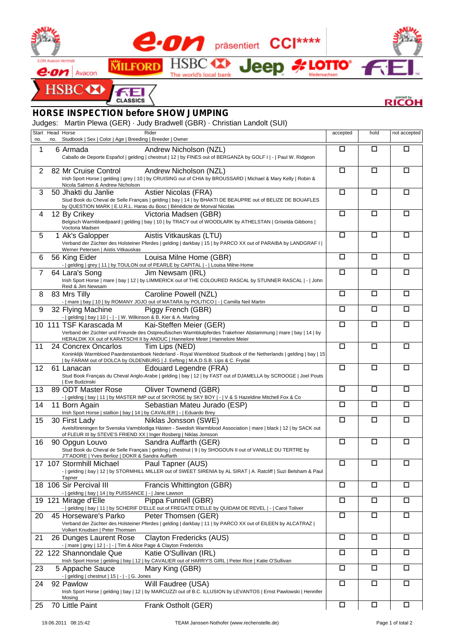

## **RICOH**

## *HORSE INSPECTION before SHOW JUMPING*

Judges: Martin Plewa (GER) · Judy Bradwell (GBR) · Christian Landolt (SUI)

| no.            | Start Head Horse<br>no. | Studbook   Sex   Color   Age   Breeding   Breeder   Owner                                                                                               | Rider                                                                                                                                     | accepted | hold   | not accepted |  |  |
|----------------|-------------------------|---------------------------------------------------------------------------------------------------------------------------------------------------------|-------------------------------------------------------------------------------------------------------------------------------------------|----------|--------|--------------|--|--|
| 1              |                         | 6 Armada                                                                                                                                                | Andrew Nicholson (NZL)                                                                                                                    | □        | □      | □            |  |  |
|                |                         |                                                                                                                                                         | Caballo de Deporte Español   gelding   chestnut   12   by FINES out of BERGANZA by GOLF I   -   Paul W. Ridgeon                           |          |        |              |  |  |
| 2              |                         | 82 Mr Cruise Control                                                                                                                                    | Andrew Nicholson (NZL)                                                                                                                    | $\Box$   | $\Box$ | □            |  |  |
|                |                         |                                                                                                                                                         | Irish Sport Horse   gelding   grey   10   by CRUISING out of CHIA by BROUSSARD   Michael & Mary Kelly   Robin &                           |          |        |              |  |  |
|                |                         | Nicola Salmon & Andrew Nicholson                                                                                                                        |                                                                                                                                           | $\Box$   | □      | □            |  |  |
| 3              |                         | 50 Jhakti du Janlie                                                                                                                                     | Astier Nicolas (FRA)<br>Stud Book du Cheval de Selle Français   gelding   bay   14   by BHAKTI DE BEAUPRE out of BELIZE DE BOUAFLES       |          |        |              |  |  |
|                |                         |                                                                                                                                                         | by QUESTION MARK   E.U.R.L. Haras du Bosc   Bénédicte de Monval Nicolas                                                                   |          |        |              |  |  |
| 4              |                         | 12 By Crikey                                                                                                                                            | Victoria Madsen (GBR)                                                                                                                     | $\Box$   | □      | □            |  |  |
|                |                         | Voctoria Madsen                                                                                                                                         | Belgisch Warmbloedpaard   gelding   bay   10   by TRACY out of WOODLARK by ATHELSTAN   Griselda Gibbons                                   |          |        |              |  |  |
| 5              |                         | 1 Ak's Galopper                                                                                                                                         | Aistis Vitkauskas (LTU)                                                                                                                   | $\Box$   | □      | □            |  |  |
|                |                         | Verband der Züchter des Holsteiner Pferdes   gelding   darkbay   15   by PARCO XX out of PARAIBA by LANDGRAF I  <br>Werner Petersen   Aistis Vitkauskas |                                                                                                                                           |          |        |              |  |  |
| 6              |                         | 56 King Eider                                                                                                                                           | Louisa Milne Home (GBR)                                                                                                                   | $\Box$   | $\Box$ | □            |  |  |
|                |                         |                                                                                                                                                         | -   gelding   grey   11   by TOULON out of PEARLE by CAPITAL   -   Louisa Milne-Home                                                      |          |        |              |  |  |
| $\overline{7}$ |                         | 64 Lara's Song                                                                                                                                          | Jim Newsam (IRL)                                                                                                                          | $\Box$   | □      | □            |  |  |
|                |                         | Reid & Jim Newsam                                                                                                                                       | Irish Sport Horse   mare   bay   12   by LIMMERICK out of THE COLOURED RASCAL by STUNNER RASCAL   -   John                                |          |        |              |  |  |
| 8              |                         | 83 Mrs Tilly                                                                                                                                            | Caroline Powell (NZL)                                                                                                                     | $\Box$   | □      | □            |  |  |
|                |                         |                                                                                                                                                         | -   mare   bay   10   by ROMANY JOJO out of MATARA by POLITICO   -   Camilla Neil Martin                                                  |          |        |              |  |  |
| 9              |                         | 32 Flying Machine<br>-   gelding   bay   10   -   -   W. Wilkinson & B. Kier & A. Marling                                                               | Piggy French (GBR)                                                                                                                        | □        | □      | □            |  |  |
|                |                         | 10 111 TSF Karascada M                                                                                                                                  | Kai-Steffen Meier (GER)                                                                                                                   | $\Box$   | $\Box$ | $\Box$       |  |  |
|                |                         |                                                                                                                                                         | Verband der Züchter und Freunde des Ostpreußischen Warmblutpferdes Trakehner Abstammung   mare   bay   14   by                            |          |        |              |  |  |
| 11             |                         | 24 Concrex Oncarlos                                                                                                                                     | HERALDIK XX out of KARATSCHI II by ANDUC   Hannelore Meier   Hannelore Meier<br>Tim Lips (NED)                                            | $\Box$   | □      | □            |  |  |
|                |                         |                                                                                                                                                         | Koninklijk Warmbloed Paardenstamboek Nederland - Royal Warmblood Studbook of the Netherlands   gelding   bay   15                         |          |        |              |  |  |
|                |                         |                                                                                                                                                         | by FARAM out of DOLCA by OLDENBURG   J. Eefting   M.A.D.S.B. Lips & C. Frydal                                                             |          |        |              |  |  |
| 12             |                         | 61 Lanacan                                                                                                                                              | Edouard Legendre (FRA)<br>Stud Book Français du Cheval Anglo-Arabe   gelding   bay   12   by FAST out of DJAMELLA by SCROOGE   Joel Pouts | $\Box$   | □      | □            |  |  |
|                |                         | Eve Budzinski                                                                                                                                           |                                                                                                                                           |          |        |              |  |  |
| 13             |                         | 89 ODT Master Rose                                                                                                                                      | Oliver Townend (GBR)                                                                                                                      | $\Box$   | $\Box$ | □            |  |  |
| 14             |                         | 11 Born Again                                                                                                                                           | -   gelding   bay   11   by MASTER IMP out of SKYROSE by SKY BOY   -   V & S Hazeldine Mitchell Fox & Co<br>Sebastian Mateu Jurado (ESP)  | $\Box$   | $\Box$ | □            |  |  |
|                |                         | Irish Sport Horse   stallion   bay   14   by CAVALIER   -   Eduardo Brey                                                                                |                                                                                                                                           |          |        |              |  |  |
| 15             |                         | 30 First Lady                                                                                                                                           | Niklas Jonsson (SWE)                                                                                                                      | $\Box$   | □      | $\Box$       |  |  |
|                |                         | of FLEUR III by STEVE'S FRIEND XX   Inger Rosberg   Niklas Jonsson                                                                                      | Avelsföreningen for Svenska Varmblodiga Hästen - Swedish Warmblood Association   mare   black   12   by SACK out                          |          |        |              |  |  |
| 16             |                         | 90 Opgun Louvo                                                                                                                                          | Sandra Auffarth (GER)                                                                                                                     | $\Box$   | □      | □            |  |  |
|                |                         |                                                                                                                                                         | Stud Book du Cheval de Selle Français   gelding   chestnut   9   by SHOGOUN II out of VANILLE DU TERTRE by                                |          |        |              |  |  |
|                |                         | J'T'ADORE   Yves Berlioz   DOKR & Sandra Auffarth<br>17 107 Stormhill Michael                                                                           | Paul Tapner (AUS)                                                                                                                         | $\Box$   | $\Box$ | $\Box$       |  |  |
|                |                         |                                                                                                                                                         | -   gelding   bay   12   by STORMHILL MILLER out of SWEET SIRENIA by AL SIRAT   A. Ratcliff   Suzi Belsham & Paul                         |          |        |              |  |  |
|                |                         | Tapner                                                                                                                                                  |                                                                                                                                           | □        |        |              |  |  |
|                |                         | 18 106 Sir Percival III<br>-   gelding   bay   14   by PUISSANCE   -   Jane Lawson                                                                      | Francis Whittington (GBR)                                                                                                                 |          | □      | $\Box$       |  |  |
|                |                         | 19 121 Mirage d'Elle                                                                                                                                    | Pippa Funnell (GBR)                                                                                                                       | $\Box$   | □      | □            |  |  |
|                |                         |                                                                                                                                                         | -   gelding   bay   11   by SCHERIF D'ELLE out of FREGATE D'ELLE by QUIDAM DE REVEL   -   Carol Toliver                                   |          |        |              |  |  |
| 20             |                         | 45 Horseware's Parko                                                                                                                                    | Peter Thomsen (GER)<br>Verband der Züchter des Holsteiner Pferdes   gelding   darkbay   11   by PARCO XX out of EILEEN by ALCATRAZ        | $\Box$   | □      | □            |  |  |
|                |                         | Volkert Knudsen   Peter Thomsen                                                                                                                         |                                                                                                                                           |          |        |              |  |  |
| 21             |                         | 26 Dunges Laurent Rose                                                                                                                                  | Clayton Fredericks (AUS)                                                                                                                  | $\Box$   | □      | □            |  |  |
|                |                         | -   mare   grey   12   -   -   Tim & Alice Page & Clayton Fredericks<br>22 122 Shannondale Que                                                          | Katie O'Sullivan (IRL)                                                                                                                    | □        | □      | □            |  |  |
|                |                         |                                                                                                                                                         | Irish Sport Horse   gelding   bay   12   by CAVALIER out of HARRY'S GIRL   Peter Rice   Katie O'Sullivan                                  |          |        |              |  |  |
| 23             |                         | 5 Appache Sauce                                                                                                                                         | Mary King (GBR)                                                                                                                           | $\Box$   | $\Box$ | $\Box$       |  |  |
|                |                         | -   gelding   chestnut   15   -   -   G. Jones                                                                                                          | Will Faudree (USA)                                                                                                                        | $\Box$   | $\Box$ | $\Box$       |  |  |
| 24             |                         | 92 Pawlow                                                                                                                                               | Irish Sport Horse   gelding   bay   12   by MARCUZZI out of B.C. ILLUSION by LEVANTOS   Ernst Pawlowski   Hennifer                        |          |        |              |  |  |
|                |                         | Mosing                                                                                                                                                  |                                                                                                                                           |          |        |              |  |  |
| 25             |                         | 70 Little Paint                                                                                                                                         | Frank Ostholt (GER)                                                                                                                       | $\Box$   | □      | □            |  |  |